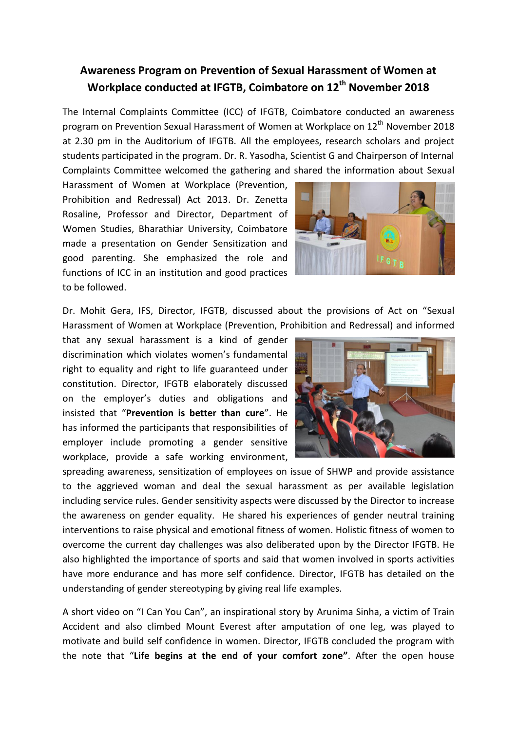## **Awareness Program on Prevention of Sexual Harassment of Women at Workplace conducted at IFGTB, Coimbatore on 12th November 2018**

The Internal Complaints Committee (ICC) of IFGTB, Coimbatore conducted an awareness program on Prevention Sexual Harassment of Women at Workplace on 12<sup>th</sup> November 2018 at 2.30 pm in the Auditorium of IFGTB. All the employees, research scholars and project students participated in the program. Dr. R. Yasodha, Scientist G and Chairperson of Internal Complaints Committee welcomed the gathering and shared the information about Sexual

Harassment of Women at Workplace (Prevention, Prohibition and Redressal) Act 2013. Dr. Zenetta Rosaline, Professor and Director, Department of Women Studies, Bharathiar University, Coimbatore made a presentation on Gender Sensitization and good parenting. She emphasized the role and functions of ICC in an institution and good practices to be followed.



Dr. Mohit Gera, IFS, Director, IFGTB, discussed about the provisions of Act on "Sexual Harassment of Women at Workplace (Prevention, Prohibition and Redressal) and informed

that any sexual harassment is a kind of gender discrimination which violates women's fundamental right to equality and right to life guaranteed under constitution. Director, IFGTB elaborately discussed on the employer's duties and obligations and insisted that "**Prevention is better than cure**". He has informed the participants that responsibilities of employer include promoting a gender sensitive workplace, provide a safe working environment,



spreading awareness, sensitization of employees on issue of SHWP and provide assistance to the aggrieved woman and deal the sexual harassment as per available legislation including service rules. Gender sensitivity aspects were discussed by the Director to increase the awareness on gender equality. He shared his experiences of gender neutral training interventions to raise physical and emotional fitness of women. Holistic fitness of women to overcome the current day challenges was also deliberated upon by the Director IFGTB. He also highlighted the importance of sports and said that women involved in sports activities have more endurance and has more self confidence. Director, IFGTB has detailed on the understanding of gender stereotyping by giving real life examples.

A short video on "I Can You Can", an inspirational story by Arunima Sinha, a victim of Train Accident and also climbed Mount Everest after amputation of one leg, was played to motivate and build self confidence in women. Director, IFGTB concluded the program with the note that "**Life begins at the end of your comfort zone"**. After the open house